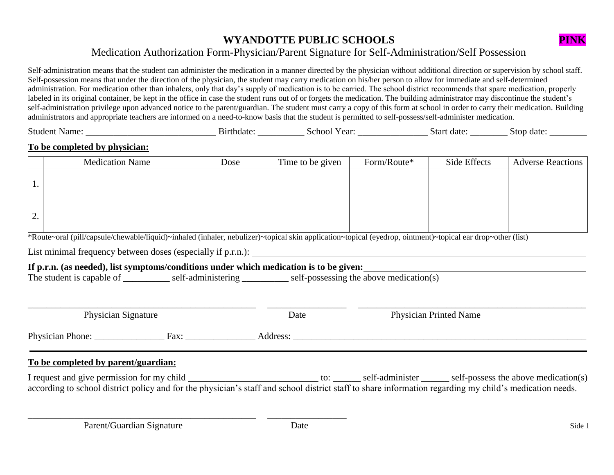# **WYANDOTTE PUBLIC SCHOOLS PINK**



# Medication Authorization Form-Physician/Parent Signature for Self-Administration/Self Possession

Self-administration means that the student can administer the medication in a manner directed by the physician without additional direction or supervision by school staff. Self-possession means that under the direction of the physician, the student may carry medication on his/her person to allow for immediate and self-determined administration. For medication other than inhalers, only that day's supply of medication is to be carried. The school district recommends that spare medication, properly labeled in its original container, be kept in the office in case the student runs out of or forgets the medication. The building administrator may discontinue the student's self-administration privilege upon advanced notice to the parent/guardian. The student must carry a copy of this form at school in order to carry their medication. Building administrators and appropriate teachers are informed on a need-to-know basis that the student is permitted to self-possess/self-administer medication.

Student Name: \_\_\_\_\_\_\_\_\_\_\_\_\_\_\_\_\_\_\_\_\_\_\_\_\_\_\_\_ Birthdate: \_\_\_\_\_\_\_\_\_\_ School Year: \_\_\_\_\_\_\_\_\_\_\_\_\_\_\_ Start date: \_\_\_\_\_\_\_\_ Stop date: \_\_\_\_\_\_\_\_

### **To be completed by physician:**

|    | <b>Medication Name</b> | Dose | Time to be given | Form/Route* | Side Effects | <b>Adverse Reactions</b> |
|----|------------------------|------|------------------|-------------|--------------|--------------------------|
|    |                        |      |                  |             |              |                          |
| ۷. |                        |      |                  |             |              |                          |

\*Route~oral (pill/capsule/chewable/liquid)~inhaled (inhaler, nebulizer)~topical skin application~topical (eyedrop, ointment)~topical ear drop~other (list)

List minimal frequency between doses (especially if p.r.n.):

## **If p.r.n. (as needed), list symptoms/conditions under which medication is to be given:**

\_\_\_\_\_\_\_\_\_\_\_\_\_\_\_\_\_\_\_\_\_\_\_\_\_\_\_\_\_\_\_\_\_\_\_\_\_\_\_\_\_\_\_\_\_\_\_\_\_ \_\_\_\_\_\_\_\_\_\_\_\_\_\_\_\_\_

The student is capable of  $\qquad \qquad$  self-administering self-possessing the above medication(s)

| <b>Physician Signature</b> |      | Date     | <b>Physician Printed Name</b> |  |  |
|----------------------------|------|----------|-------------------------------|--|--|
| Physician Phone:           | Fax: | Address: |                               |  |  |

### **To be completed by parent/guardian:**

I request and give permission for my child to:  $\text{self-administer}$  self-administer self-possess the above medication(s) according to school district policy and for the physician's staff and school district staff to share information regarding my child's medication needs.